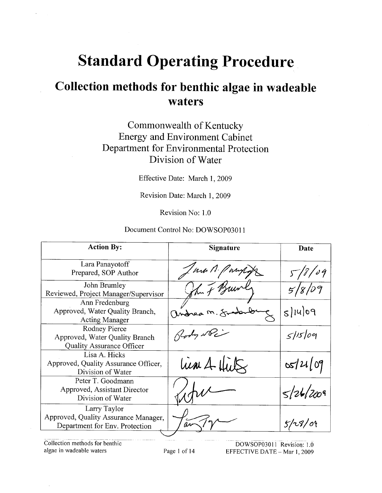# **Standard Operating Procedure**

## Collection methods for benthic algae in wadeable waters

## Commonwealth of Kentucky **Energy and Environment Cabinet** Department for Environmental Protection Division of Water

Effective Date: March 1, 2009

Revision Date: March 1, 2009

Revision No: 1.0

#### Document Control No: DOWSOP03011

| <b>Action By:</b>                                                                      | <b>Signature</b> | Date      |
|----------------------------------------------------------------------------------------|------------------|-----------|
| Lara Panayotoff<br>Prepared, SOP Author                                                | un A. Pany       | 5/8/09    |
| John Brumley<br>Reviewed, Project Manager/Supervisor                                   | hun of Brun      |           |
| Ann Fredenburg<br>Approved, Water Quality Branch,<br><b>Acting Manager</b>             | andrea m. 8      | $s u $ 09 |
| Rodney Pierce<br>Approved, Water Quality Branch<br><b>Quality Assurance Officer</b>    | Glody De         | 5/15/09   |
| Lisa A. Hicks<br>Approved, Quality Assurance Officer,<br>Division of Water             | lien 4 Hits      | 05/21/09  |
| Peter T. Goodmann<br>Approved, Assistant Director<br>Division of Water                 |                  | 5/26/2009 |
| Larry Taylor<br>Approved, Quality Assurance Manager,<br>Department for Env. Protection |                  | 5/28/09   |

Collection methods for benthic algae in wadeable waters

DOWSOP03011 Revision: 1.0 EFFECTIVE DATE - Mar 1, 2009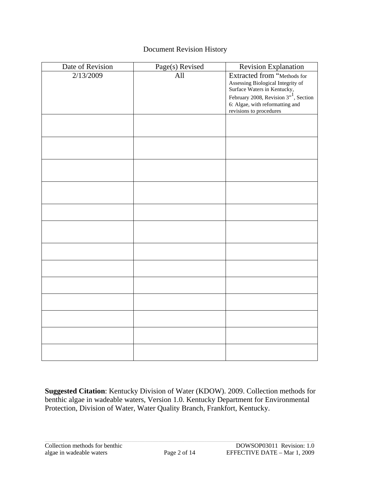## Document Revision History

| Date of Revision | Page(s) Revised | Revision Explanation                                                                                                                                 |
|------------------|-----------------|------------------------------------------------------------------------------------------------------------------------------------------------------|
| 2/13/2009        | All             | Extracted from "Methods for<br>Assessing Biological Integrity of<br>Surface Waters in Kentucky,<br>February 2008, Revision 3" <sup>1</sup> , Section |
|                  |                 | 6: Algae, with reformatting and<br>revisions to procedures                                                                                           |
|                  |                 |                                                                                                                                                      |
|                  |                 |                                                                                                                                                      |
|                  |                 |                                                                                                                                                      |
|                  |                 |                                                                                                                                                      |
|                  |                 |                                                                                                                                                      |
|                  |                 |                                                                                                                                                      |
|                  |                 |                                                                                                                                                      |
|                  |                 |                                                                                                                                                      |
|                  |                 |                                                                                                                                                      |
|                  |                 |                                                                                                                                                      |
|                  |                 |                                                                                                                                                      |
|                  |                 |                                                                                                                                                      |
|                  |                 |                                                                                                                                                      |

**Suggested Citation**: Kentucky Division of Water (KDOW). 2009. Collection methods for benthic algae in wadeable waters, Version 1.0. Kentucky Department for Environmental Protection, Division of Water, Water Quality Branch, Frankfort, Kentucky.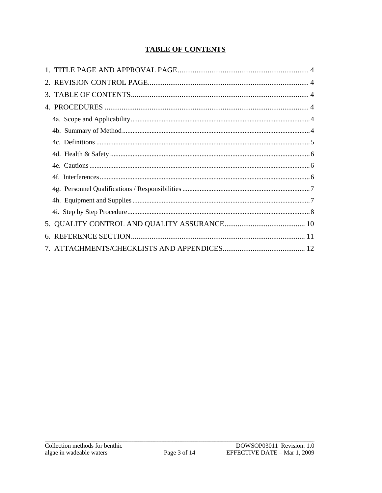## **TABLE OF CONTENTS**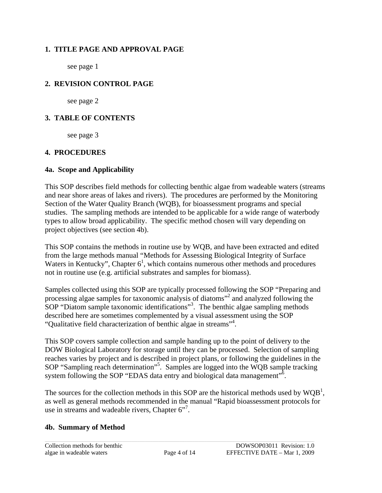## <span id="page-3-0"></span>**1. TITLE PAGE AND APPROVAL PAGE**

see page 1

## **2. REVISION CONTROL PAGE**

see page 2

## **3. TABLE OF CONTENTS**

see page 3

## **4. PROCEDURES**

## **4a. Scope and Applicability**

This SOP describes field methods for collecting benthic algae from wadeable waters (streams and near shore areas of lakes and rivers). The procedures are performed by the Monitoring Section of the Water Quality Branch (WQB), for bioassessment programs and special studies. The sampling methods are intended to be applicable for a wide range of waterbody types to allow broad applicability. The specific method chosen will vary depending on project objectives (see section 4b).

This SOP contains the methods in routine use by WQB, and have been extracted and edited from the large methods manual "Methods for Assessing Biological Integrity of Surface Waters in Kentucky", Chapter  $6<sup>1</sup>$ , which contains numerous other methods and procedures not in routine use (e.g. artificial substrates and samples for biomass).

Samples collected using this SOP are typically processed following the SOP "Preparing and processing algae samples for taxonomic analysis of diatoms"2 and analyzed following the SOP "Diatom sample taxonomic identifications"<sup>3</sup>. The benthic algae sampling methods described here are sometimes complemented by a visual assessment using the SOP "Qualitative field characterization of benthic algae in streams"4 .

This SOP covers sample collection and sample handing up to the point of delivery to the DOW Biological Laboratory for storage until they can be processed. Selection of sampling reaches varies by project and is described in project plans, or following the guidelines in the SOP "Sampling reach determination"<sup>5</sup>. Samples are logged into the WQB sample tracking system following the SOP "EDAS data entry and biological data management"<sup>5</sup>.

The sources for the collection methods in this SOP are the historical methods used by  $WQB$ <sup>1</sup>, as well as general methods recommended in the manual "Rapid bioassessment protocols for use in streams and wadeable rivers, Chapter  $6"$ .

## **4b. Summary of Method**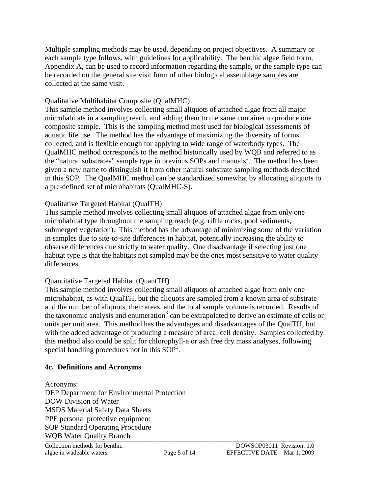<span id="page-4-0"></span>Multiple sampling methods may be used, depending on project objectives. A summary or each sample type follows, with guidelines for applicability. The benthic algae field form, Appendix A, can be used to record information regarding the sample, or the sample type can be recorded on the general site visit form of other biological assemblage samples are collected at the same visit.

#### Qualitative Multihabitat Composite (QualMHC)

This sample method involves collecting small aliquots of attached algae from all major microhabitats in a sampling reach, and adding them to the same container to produce one composite sample. This is the sampling method most used for biological assessments of aquatic life use. The method has the advantage of maximizing the diversity of forms collected, and is flexible enough for applying to wide range of waterbody types. The QualMHC method corresponds to the method historically used by WQB and referred to as the "natural substrates" sample type in previous SOPs and manuals<sup>1</sup>. The method has been given a new name to distinguish it from other natural substrate sampling methods described in this SOP. The QualMHC method can be standardized somewhat by allocating aliquots to a pre-defined set of microhabitats (QualMHC-S).

#### Qualitative Targeted Habitat (QualTH)

This sample method involves collecting small aliquots of attached algae from only one microhabitat type throughout the sampling reach (e.g. riffle rocks, pool sediments, submerged vegetation). This method has the advantage of minimizing some of the variation in samples due to site-to-site differences in habitat, potentially increasing the ability to observe differences due strictly to water quality. One disadvantage if selecting just one habitat type is that the habitats not sampled may be the ones most sensitive to water quality differences.

### Quantitative Targeted Habitat (QuantTH)

This sample method involves collecting small aliquots of attached algae from only one microhabitat, as with QualTH, but the aliquots are sampled from a known area of substrate and the number of aliquots, their areas, and the total sample volume is recorded. Results of the taxonomic analysis and enumeration<sup>3</sup> can be extrapolated to derive an estimate of cells or units per unit area. This method has the advantages and disadvantages of the QualTH, but with the added advantage of producing a measure of areal cell density. Samples collected by this method also could be split for chlorophyll-a or ash free dry mass analyses, following special handling procedures not in this  $SOP<sup>1</sup>$ .

#### **4c. Definitions and Acronyms**

WQB Water Quality Branch Acronyms: DEP Department for Environmental Protection DOW Division of Water MSDS Material Safety Data Sheets PPE personal protective equipment SOP Standard Operating Procedure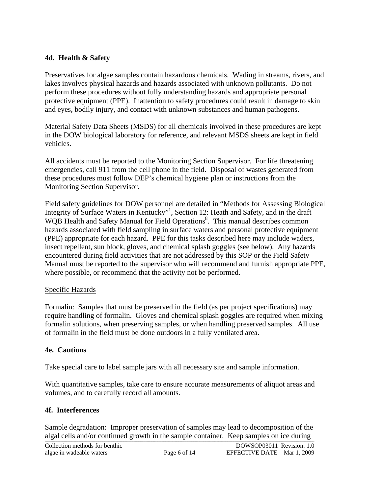## <span id="page-5-0"></span>**4d. Health & Safety**

Preservatives for algae samples contain hazardous chemicals. Wading in streams, rivers, and lakes involves physical hazards and hazards associated with unknown pollutants. Do not perform these procedures without fully understanding hazards and appropriate personal protective equipment (PPE). Inattention to safety procedures could result in damage to skin and eyes, bodily injury, and contact with unknown substances and human pathogens.

Material Safety Data Sheets (MSDS) for all chemicals involved in these procedures are kept in the DOW biological laboratory for reference, and relevant MSDS sheets are kept in field vehicles.

All accidents must be reported to the Monitoring Section Supervisor. For life threatening emergencies, call 911 from the cell phone in the field. Disposal of wastes generated from these procedures must follow DEP's chemical hygiene plan or instructions from the Monitoring Section Supervisor.

Field safety guidelines for DOW personnel are detailed in "Methods for Assessing Biological Integrity of Surface Waters in Kentucky"<sup>1</sup>, Section 12: Heath and Safety, and in the draft WQB Health and Safety Manual for Field Operations<sup>8</sup>. This manual describes common hazards associated with field sampling in surface waters and personal protective equipment (PPE) appropriate for each hazard. PPE for this tasks described here may include waders, insect repellent, sun block, gloves, and chemical splash goggles (see below). Any hazards encountered during field activities that are not addressed by this SOP or the Field Safety Manual must be reported to the supervisor who will recommend and furnish appropriate PPE, where possible, or recommend that the activity not be performed.

### Specific Hazards

Formalin: Samples that must be preserved in the field (as per project specifications) may require handling of formalin. Gloves and chemical splash goggles are required when mixing formalin solutions, when preserving samples, or when handling preserved samples. All use of formalin in the field must be done outdoors in a fully ventilated area.

### **4e. Cautions**

Take special care to label sample jars with all necessary site and sample information.

With quantitative samples, take care to ensure accurate measurements of aliquot areas and volumes, and to carefully record all amounts.

### **4f. Interferences**

Sample degradation: Improper preservation of samples may lead to decomposition of the algal cells and/or continued growth in the sample container. Keep samples on ice during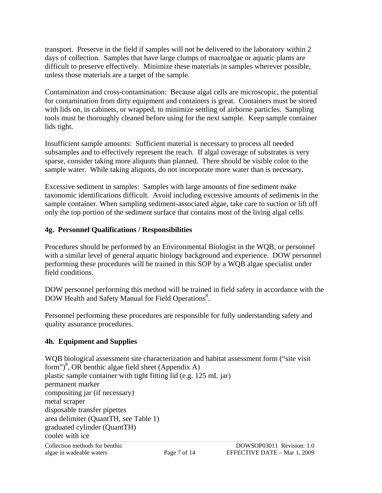<span id="page-6-0"></span>transport. Preserve in the field if samples will not be delivered to the laboratory within 2 days of collection. Samples that have large clumps of macroalgae or aquatic plants are difficult to preserve effectively. Minimize these materials in samples wherever possible, unless those materials are a target of the sample.

Contamination and cross-contamination: Because algal cells are microscopic, the potential for contamination from dirty equipment and containers is great. Containers must be stored with lids on, in cabinets, or wrapped, to minimize settling of airborne particles. Sampling tools must be thoroughly cleaned before using for the next sample. Keep sample container lids tight.

Insufficient sample amounts: Sufficient material is necessary to process all needed subsamples and to effectively represent the reach. If algal coverage of substrates is very sparse, consider taking more aliquots than planned. There should be visible color to the sample water. While taking aliquots, do not incorporate more water than is necessary.

Excessive sediment in samples: Samples with large amounts of fine sediment make taxonomic identifications difficult. Avoid including excessive amounts of sediments in the sample container. When sampling sediment-associated algae, take care to suction or lift off only the top portion of the sediment surface that contains most of the living algal cells.

## **4g. Personnel Qualifications / Responsibilities**

Procedures should be performed by an Environmental Biologist in the WQB, or personnel with a similar level of general aquatic biology background and experience. DOW personnel performing these procedures will be trained in this SOP by a WQB algae specialist under field conditions.

DOW personnel performing this method will be trained in field safety in accordance with the DOW Health and Safety Manual for Field Operations<sup>8</sup>.

Personnel performing these procedures are responsible for fully understanding safety and quality assurance procedures.

## **4h. Equipment and Supplies**

cooler with ice Collection methods for benthic DOWSOP03011 Revision: 1.0 algae in wadeable waters Page 7 of 14 EFFECTIVE DATE – Mar 1, 2009 WQB biological assessment site characterization and habitat assessment form ("site visit form")<sup>8</sup>, OR benthic algae field sheet (Appendix A) plastic sample container with tight fitting lid (e.g. 125 mL jar) permanent marker compositing jar (if necessary) metal scraper disposable transfer pipettes area delimiter (QuantTH, see Table 1) graduated cylinder (QuantTH)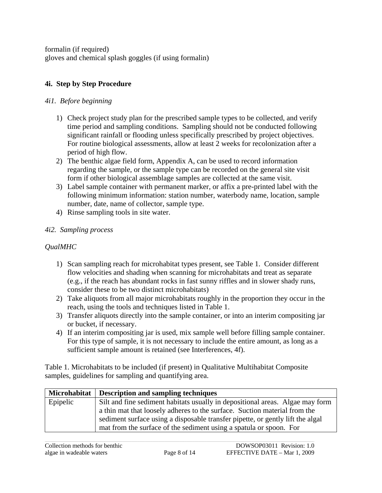<span id="page-7-0"></span>formalin (if required) gloves and chemical splash goggles (if using formalin)

## **4i. Step by Step Procedure**

## *4i1. Before beginning*

- 1) Check project study plan for the prescribed sample types to be collected, and verify time period and sampling conditions. Sampling should not be conducted following significant rainfall or flooding unless specifically prescribed by project objectives. For routine biological assessments, allow at least 2 weeks for recolonization after a period of high flow.
- 2) The benthic algae field form, Appendix A, can be used to record information regarding the sample, or the sample type can be recorded on the general site visit form if other biological assemblage samples are collected at the same visit.
- 3) Label sample container with permanent marker, or affix a pre-printed label with the following minimum information: station number, waterbody name, location, sample number, date, name of collector, sample type.
- 4) Rinse sampling tools in site water.

## *4i2. Sampling process*

## *QualMHC*

- 1) Scan sampling reach for microhabitat types present, see Table 1. Consider different flow velocities and shading when scanning for microhabitats and treat as separate (e.g., if the reach has abundant rocks in fast sunny riffles and in slower shady runs, consider these to be two distinct microhabitats)
- 2) Take aliquots from all major microhabitats roughly in the proportion they occur in the reach, using the tools and techniques listed in Table 1.
- 3) Transfer aliquots directly into the sample container, or into an interim compositing jar or bucket, if necessary.
- 4) If an interim compositing jar is used, mix sample well before filling sample container. For this type of sample, it is not necessary to include the entire amount, as long as a sufficient sample amount is retained (see Interferences, 4f).

Table 1. Microhabitats to be included (if present) in Qualitative Multihabitat Composite samples, guidelines for sampling and quantifying area.

| Microhabitat | <b>Description and sampling techniques</b>                                     |
|--------------|--------------------------------------------------------------------------------|
| Epipelic     | Silt and fine sediment habitats usually in depositional areas. Algae may form  |
|              | a thin mat that loosely adheres to the surface. Suction material from the      |
|              | sediment surface using a disposable transfer pipette, or gently lift the algal |
|              | mat from the surface of the sediment using a spatula or spoon. For             |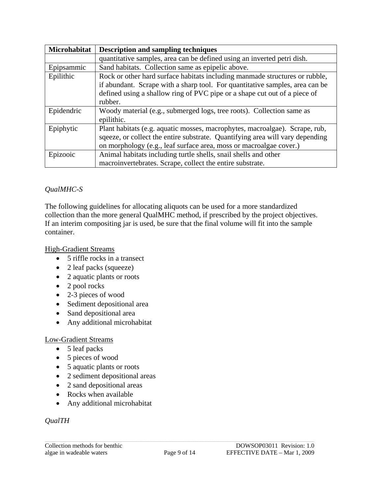| Microhabitat | <b>Description and sampling techniques</b>                                    |  |  |  |  |
|--------------|-------------------------------------------------------------------------------|--|--|--|--|
|              | quantitative samples, area can be defined using an inverted petri dish.       |  |  |  |  |
| Epipsammic   | Sand habitats. Collection same as epipelic above.                             |  |  |  |  |
| Epilithic    | Rock or other hard surface habitats including manmade structures or rubble,   |  |  |  |  |
|              | if abundant. Scrape with a sharp tool. For quantitative samples, area can be  |  |  |  |  |
|              | defined using a shallow ring of PVC pipe or a shape cut out of a piece of     |  |  |  |  |
|              | rubber.                                                                       |  |  |  |  |
| Epidendric   | Woody material (e.g., submerged logs, tree roots). Collection same as         |  |  |  |  |
|              | epilithic.                                                                    |  |  |  |  |
| Epiphytic    | Plant habitats (e.g. aquatic mosses, macrophytes, macroalgae). Scrape, rub,   |  |  |  |  |
|              | sqeeze, or collect the entire substrate. Quantifying area will vary depending |  |  |  |  |
|              | on morphology (e.g., leaf surface area, moss or macroalgae cover.)            |  |  |  |  |
| Epizooic     | Animal habitats including turtle shells, snail shells and other               |  |  |  |  |
|              | macroinvertebrates. Scrape, collect the entire substrate.                     |  |  |  |  |

## *QualMHC-S*

The following guidelines for allocating aliquots can be used for a more standardized collection than the more general QualMHC method, if prescribed by the project objectives. If an interim compositing jar is used, be sure that the final volume will fit into the sample container.

## High-Gradient Streams

- 5 riffle rocks in a transect
- 2 leaf packs (squeeze)
- 2 aquatic plants or roots
- 2 pool rocks
- 2-3 pieces of wood
- Sediment depositional area
- Sand depositional area
- Any additional microhabitat

### Low-Gradient Streams

- 5 leaf packs
- 5 pieces of wood
- 5 aquatic plants or roots
- 2 sediment depositional areas
- 2 sand depositional areas
- Rocks when available
- Any additional microhabitat

## *QualTH*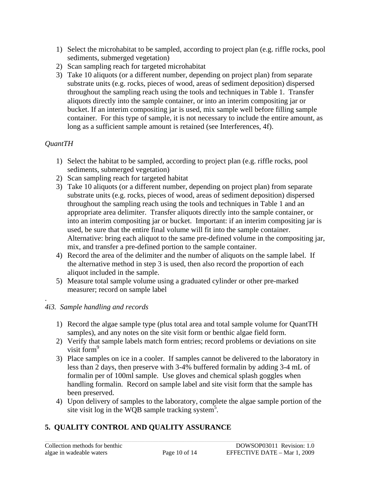- <span id="page-9-0"></span>1) Select the microhabitat to be sampled, according to project plan (e.g. riffle rocks, pool sediments, submerged vegetation)
- 2) Scan sampling reach for targeted microhabitat
- 3) Take 10 aliquots (or a different number, depending on project plan) from separate substrate units (e.g. rocks, pieces of wood, areas of sediment deposition) dispersed throughout the sampling reach using the tools and techniques in Table 1. Transfer aliquots directly into the sample container, or into an interim compositing jar or bucket. If an interim compositing jar is used, mix sample well before filling sample container. For this type of sample, it is not necessary to include the entire amount, as long as a sufficient sample amount is retained (see Interferences, 4f).

## *QuantTH*

- 1) Select the habitat to be sampled, according to project plan (e.g. riffle rocks, pool sediments, submerged vegetation)
- 2) Scan sampling reach for targeted habitat
- 3) Take 10 aliquots (or a different number, depending on project plan) from separate substrate units (e.g. rocks, pieces of wood, areas of sediment deposition) dispersed throughout the sampling reach using the tools and techniques in Table 1 and an appropriate area delimiter. Transfer aliquots directly into the sample container, or into an interim compositing jar or bucket. Important: if an interim compositing jar is used, be sure that the entire final volume will fit into the sample container. Alternative: bring each aliquot to the same pre-defined volume in the compositing jar, mix, and transfer a pre-defined portion to the sample container.
- 4) Record the area of the delimiter and the number of aliquots on the sample label. If the alternative method in step 3 is used, then also record the proportion of each aliquot included in the sample.
- 5) Measure total sample volume using a graduated cylinder or other pre-marked measurer; record on sample label

#### . *4i3. Sample handling and records*

- 1) Record the algae sample type (plus total area and total sample volume for QuantTH samples), and any notes on the site visit form or benthic algae field form.
- 2) Verify that sample labels match form entries; record problems or deviations on site visit form<sup>9</sup>
- 3) Place samples on ice in a cooler. If samples cannot be delivered to the laboratory in less than 2 days, then preserve with 3-4% buffered formalin by adding 3-4 mL of formalin per of 100ml sample. Use gloves and chemical splash goggles when handling formalin. Record on sample label and site visit form that the sample has been preserved.
- 4) Upon delivery of samples to the laboratory, complete the algae sample portion of the site visit log in the WQB sample tracking system<sup>5</sup>.

## **5. QUALITY CONTROL AND QUALITY ASSURANCE**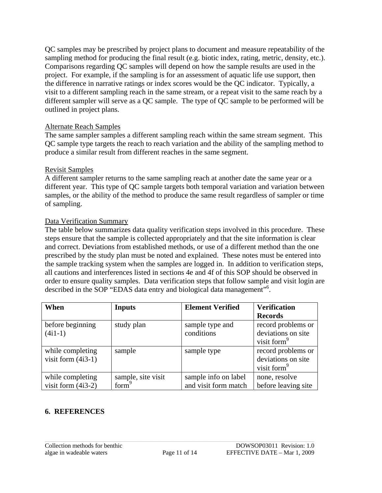<span id="page-10-0"></span>QC samples may be prescribed by project plans to document and measure repeatability of the sampling method for producing the final result (e.g. biotic index, rating, metric, density, etc.). Comparisons regarding QC samples will depend on how the sample results are used in the project. For example, if the sampling is for an assessment of aquatic life use support, then the difference in narrative ratings or index scores would be the QC indicator. Typically, a visit to a different sampling reach in the same stream, or a repeat visit to the same reach by a different sampler will serve as a QC sample. The type of QC sample to be performed will be outlined in project plans.

## Alternate Reach Samples

The same sampler samples a different sampling reach within the same stream segment. This QC sample type targets the reach to reach variation and the ability of the sampling method to produce a similar result from different reaches in the same segment.

### Revisit Samples

A different sampler returns to the same sampling reach at another date the same year or a different year. This type of QC sample targets both temporal variation and variation between samples, or the ability of the method to produce the same result regardless of sampler or time of sampling.

### Data Verification Summary

The table below summarizes data quality verification steps involved in this procedure. These steps ensure that the sample is collected appropriately and that the site information is clear and correct. Deviations from established methods, or use of a different method than the one prescribed by the study plan must be noted and explained. These notes must be entered into the sample tracking system when the samples are logged in. In addition to verification steps, all cautions and interferences listed in sections 4e and 4f of this SOP should be observed in order to ensure quality samples. Data verification steps that follow sample and visit login are described in the SOP "EDAS data entry and biological data management"<sup>6</sup>.

| When                 | <b>Inputs</b>      | <b>Element Verified</b> | <b>Verification</b>     |  |
|----------------------|--------------------|-------------------------|-------------------------|--|
|                      |                    |                         | <b>Records</b>          |  |
| before beginning     | study plan         | sample type and         | record problems or      |  |
| $(4i1-1)$            |                    | conditions              | deviations on site      |  |
|                      |                    |                         | visit form <sup>9</sup> |  |
| while completing     | sample             | sample type             | record problems or      |  |
| visit form $(4i3-1)$ |                    |                         | deviations on site      |  |
|                      |                    |                         | visit form <sup>9</sup> |  |
| while completing     | sample, site visit | sample info on label    | none, resolve           |  |
| visit form $(4i3-2)$ | form <sup>9</sup>  | and visit form match    | before leaving site     |  |

## **6. REFERENCES**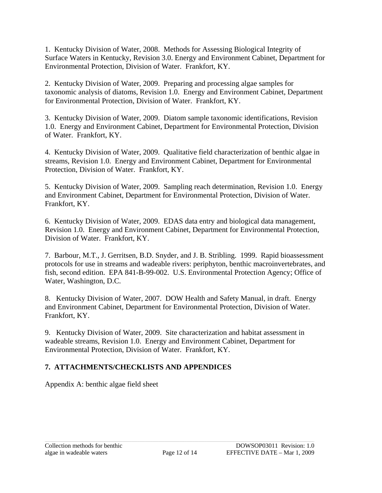<span id="page-11-0"></span>1. Kentucky Division of Water, 2008. Methods for Assessing Biological Integrity of Surface Waters in Kentucky, Revision 3.0. Energy and Environment Cabinet, Department for Environmental Protection, Division of Water. Frankfort, KY.

2. Kentucky Division of Water, 2009. Preparing and processing algae samples for taxonomic analysis of diatoms, Revision 1.0. Energy and Environment Cabinet, Department for Environmental Protection, Division of Water. Frankfort, KY.

3. Kentucky Division of Water, 2009. Diatom sample taxonomic identifications, Revision 1.0. Energy and Environment Cabinet, Department for Environmental Protection, Division of Water. Frankfort, KY.

4. Kentucky Division of Water, 2009. Qualitative field characterization of benthic algae in streams, Revision 1.0. Energy and Environment Cabinet, Department for Environmental Protection, Division of Water. Frankfort, KY.

5. Kentucky Division of Water, 2009. Sampling reach determination, Revision 1.0. Energy and Environment Cabinet, Department for Environmental Protection, Division of Water. Frankfort, KY.

6. Kentucky Division of Water, 2009. EDAS data entry and biological data management, Revision 1.0. Energy and Environment Cabinet, Department for Environmental Protection, Division of Water. Frankfort, KY.

7. Barbour, M.T., J. Gerritsen, B.D. Snyder, and J. B. Stribling. 1999. Rapid bioassessment protocols for use in streams and wadeable rivers: periphyton, benthic macroinvertebrates, and fish, second edition. EPA 841-B-99-002. U.S. Environmental Protection Agency; Office of Water, Washington, D.C.

8. Kentucky Division of Water, 2007. DOW Health and Safety Manual, in draft. Energy and Environment Cabinet, Department for Environmental Protection, Division of Water. Frankfort, KY.

9. Kentucky Division of Water, 2009. Site characterization and habitat assessment in wadeable streams, Revision 1.0. Energy and Environment Cabinet, Department for Environmental Protection, Division of Water. Frankfort, KY.

## **7. ATTACHMENTS/CHECKLISTS AND APPENDICES**

Appendix A: benthic algae field sheet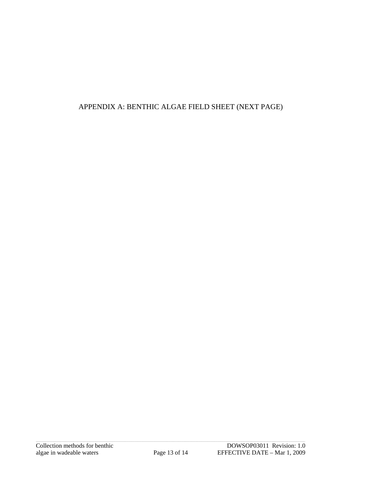## APPENDIX A: BENTHIC ALGAE FIELD SHEET (NEXT PAGE)